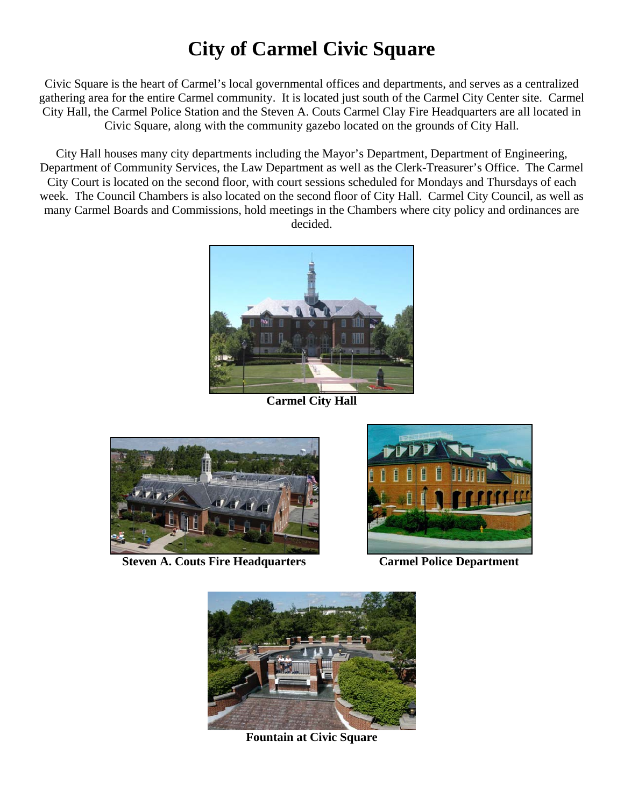## **City of Carmel Civic Square**

Civic Square is the heart of Carmel's local governmental offices and departments, and serves as a centralized gathering area for the entire Carmel community. It is located just south of the Carmel City Center site. Carmel City Hall, the Carmel Police Station and the Steven A. Couts Carmel Clay Fire Headquarters are all located in Civic Square, along with the community gazebo located on the grounds of City Hall.

City Hall houses many city departments including the Mayor's Department, Department of Engineering, Department of Community Services, the Law Department as well as the Clerk-Treasurer's Office. The Carmel City Court is located on the second floor, with court sessions scheduled for Mondays and Thursdays of each week. The Council Chambers is also located on the second floor of City Hall. Carmel City Council, as well as many Carmel Boards and Commissions, hold meetings in the Chambers where city policy and ordinances are decided.



**Carmel City Hall** 



**Steven A. Couts Fire Headquarters Carmel Police Department** 





**Fountain at Civic Square**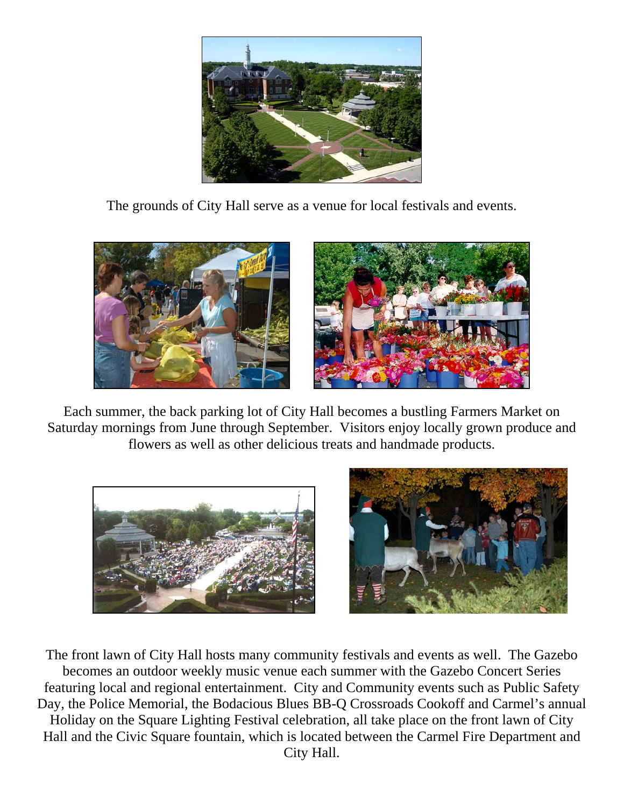

The grounds of City Hall serve as a venue for local festivals and events.



Each summer, the back parking lot of City Hall becomes a bustling Farmers Market on Saturday mornings from June through September. Visitors enjoy locally grown produce and flowers as well as other delicious treats and handmade products.





The front lawn of City Hall hosts many community festivals and events as well. The Gazebo becomes an outdoor weekly music venue each summer with the Gazebo Concert Series featuring local and regional entertainment. City and Community events such as Public Safety Day, the Police Memorial, the Bodacious Blues BB-Q Crossroads Cookoff and Carmel's annual Holiday on the Square Lighting Festival celebration, all take place on the front lawn of City Hall and the Civic Square fountain, which is located between the Carmel Fire Department and City Hall.